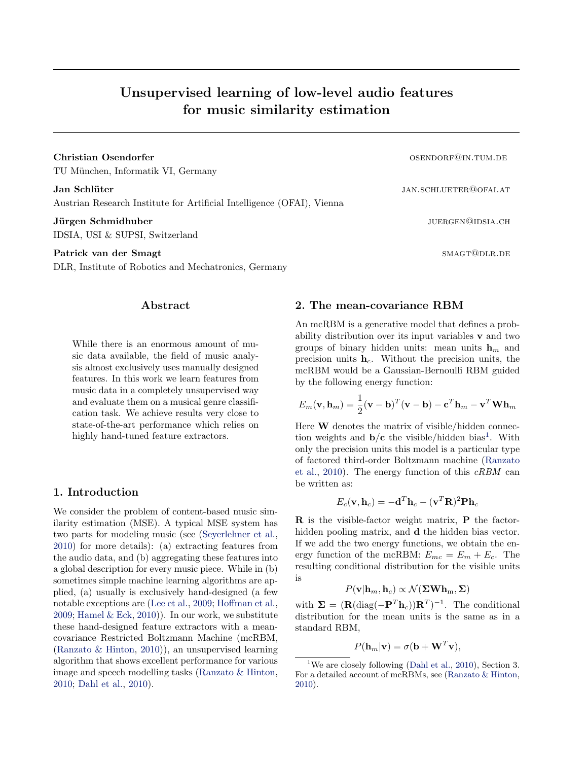# Unsupervised learning of low-level audio features for music similarity estimation

**Christian Osendorfer change of the contract of the contract of the contract of the contract of the contract of the contract of the contract of the contract of the contract of the contract of the contract of the contract** TU München, Informatik VI, Germany

Jan Schlüter jan.schlueter jan.schlueter@ofai.at Austrian Research Institute for Artificial Intelligence (OFAI), Vienna

**Jürgen Schmidhuber** juergen Schmidhuber juergen Schmidhuber juergen sich aus der der gestellte aus der generalistische Schmidhuber in der gestellte aus der gestellte aus der generalistische Schmidhuber in der gestellte au IDSIA, USI & SUPSI, Switzerland

## Patrick van der Smagt smagt smagt smagt smagt smagt smagt smagt smagt smagt smagt smagt smagt smagt smagt smagt

DLR, Institute of Robotics and Mechatronics, Germany

## Abstract

While there is an enormous amount of music data available, the field of music analysis almost exclusively uses manually designed features. In this work we learn features from music data in a completely unsupervised way and evaluate them on a musical genre classification task. We achieve results very close to state-of-the-art performance which relies on highly hand-tuned feature extractors.

# 1. Introduction

We consider the problem of content-based music similarity estimation (MSE). A typical MSE system has two parts for modeling music (see [\(Seyerlehner et al.,](#page-2-0) [2010\)](#page-2-0) for more details): (a) extracting features from the audio data, and (b) aggregating these features into a global description for every music piece. While in (b) sometimes simple machine learning algorithms are applied, (a) usually is exclusively hand-designed (a few notable exceptions are [\(Lee et al.,](#page-2-0) [2009;](#page-2-0) [Hoffman et al.,](#page-2-0) [2009;](#page-2-0) Hamel  $\&$  Eck, [2010\)](#page-2-0)). In our work, we substitute these hand-designed feature extractors with a meancovariance Restricted Boltzmann Machine (mcRBM, [\(Ranzato & Hinton,](#page-2-0) [2010\)](#page-2-0)), an unsupervised learning algorithm that shows excellent performance for various image and speech modelling tasks [\(Ranzato & Hinton,](#page-2-0) [2010;](#page-2-0) [Dahl et al.,](#page-2-0) [2010\)](#page-2-0).

#### 2. The mean-covariance RBM

An mcRBM is a generative model that defines a probability distribution over its input variables v and two groups of binary hidden units: mean units  $\mathbf{h}_m$  and precision units  $h_c$ . Without the precision units, the mcRBM would be a Gaussian-Bernoulli RBM guided by the following energy function:

$$
E_m(\mathbf{v}, \mathbf{h}_m) = \frac{1}{2}(\mathbf{v} - \mathbf{b})^T(\mathbf{v} - \mathbf{b}) - \mathbf{c}^T \mathbf{h}_m - \mathbf{v}^T \mathbf{W} \mathbf{h}_m
$$

Here W denotes the matrix of visible/hidden connection weights and  $\mathbf{b}/\mathbf{c}$  the visible/hidden bias<sup>1</sup>. With only the precision units this model is a particular type of factored third-order Boltzmann machine [\(Ranzato](#page-2-0) [et al.,](#page-2-0) [2010\)](#page-2-0). The energy function of this cRBM can be written as:

$$
E_c(\mathbf{v}, \mathbf{h}_c) = -\mathbf{d}^T \mathbf{h}_c - (\mathbf{v}^T \mathbf{R})^2 \mathbf{P} \mathbf{h}_c
$$

R is the visible-factor weight matrix, P the factorhidden pooling matrix, and d the hidden bias vector. If we add the two energy functions, we obtain the energy function of the mcRBM:  $E_{mc} = E_m + E_c$ . The resulting conditional distribution for the visible units is

$$
P(\mathbf{v}|\mathbf{h}_m, \mathbf{h}_c) \propto \mathcal{N}(\mathbf{\Sigma} \mathbf{W} \mathbf{h}_m, \mathbf{\Sigma})
$$

with  $\Sigma = (\mathbf{R}(\text{diag}(-\mathbf{P}^T \mathbf{h}_c))\mathbf{R}^T)^{-1}$ . The conditional distribution for the mean units is the same as in a standard RBM,

$$
P(\mathbf{h}_m|\mathbf{v}) = \sigma(\mathbf{b} + \mathbf{W}^T \mathbf{v}),
$$

<sup>&</sup>lt;sup>1</sup>We are closely following [\(Dahl et al.,](#page-2-0) [2010\)](#page-2-0), Section 3. For a detailed account of mcRBMs, see [\(Ranzato & Hinton,](#page-2-0) [2010\)](#page-2-0).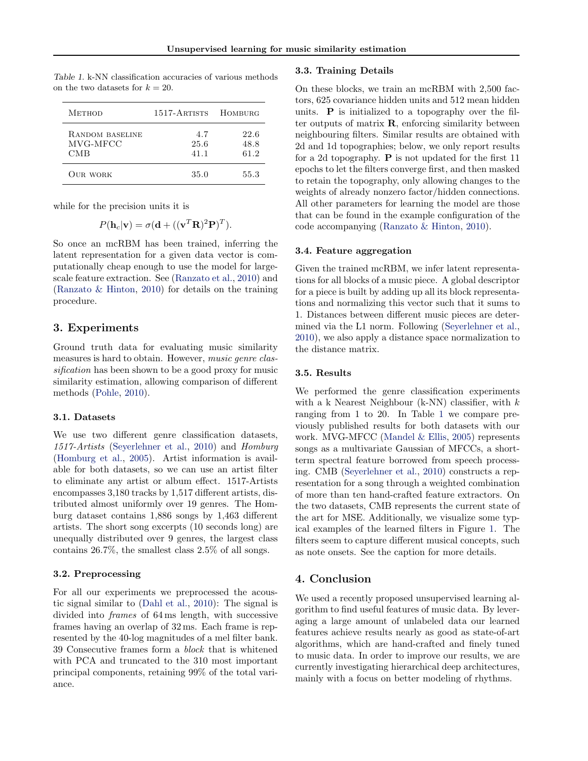| <b>METHOD</b>                      | 1517-ARTISTS        | <b>HOMBURG</b>       |
|------------------------------------|---------------------|----------------------|
| RANDOM BASELINE<br>MVG-MFCC<br>CMB | 4.7<br>25.6<br>41.1 | 22.6<br>48.8<br>61.2 |
| <b>OUR WORK</b>                    | 35.0                | 55.3                 |

Table 1. k-NN classification accuracies of various methods on the two datasets for  $k = 20$ .

while for the precision units it is

$$
P(\mathbf{h}_c|\mathbf{v}) = \sigma(\mathbf{d} + ((\mathbf{v}^T \mathbf{R})^2 \mathbf{P})^T).
$$

So once an mcRBM has been trained, inferring the latent representation for a given data vector is computationally cheap enough to use the model for largescale feature extraction. See [\(Ranzato et al.,](#page-2-0) [2010\)](#page-2-0) and [\(Ranzato & Hinton,](#page-2-0) [2010\)](#page-2-0) for details on the training procedure.

## 3. Experiments

Ground truth data for evaluating music similarity measures is hard to obtain. However, music genre classification has been shown to be a good proxy for music similarity estimation, allowing comparison of different methods [\(Pohle,](#page-2-0) [2010\)](#page-2-0).

#### 3.1. Datasets

We use two different genre classification datasets, 1517-Artists [\(Seyerlehner et al.,](#page-2-0) [2010\)](#page-2-0) and Homburg [\(Homburg et al.,](#page-2-0) [2005\)](#page-2-0). Artist information is available for both datasets, so we can use an artist filter to eliminate any artist or album effect. 1517-Artists encompasses 3,180 tracks by 1,517 different artists, distributed almost uniformly over 19 genres. The Homburg dataset contains 1,886 songs by 1,463 different artists. The short song excerpts (10 seconds long) are unequally distributed over 9 genres, the largest class contains 26.7%, the smallest class 2.5% of all songs.

#### 3.2. Preprocessing

For all our experiments we preprocessed the acoustic signal similar to [\(Dahl et al.,](#page-2-0) [2010\)](#page-2-0): The signal is divided into frames of 64 ms length, with successive frames having an overlap of 32 ms. Each frame is represented by the 40-log magnitudes of a mel filter bank. 39 Consecutive frames form a block that is whitened with PCA and truncated to the 310 most important principal components, retaining 99% of the total variance.

#### 3.3. Training Details

On these blocks, we train an mcRBM with 2,500 factors, 625 covariance hidden units and 512 mean hidden units.  $P$  is initialized to a topography over the filter outputs of matrix  $\bf{R}$ , enforcing similarity between neighbouring filters. Similar results are obtained with 2d and 1d topographies; below, we only report results for a 2d topography.  $P$  is not updated for the first 11 epochs to let the filters converge first, and then masked to retain the topography, only allowing changes to the weights of already nonzero factor/hidden connections. All other parameters for learning the model are those that can be found in the example configuration of the code accompanying [\(Ranzato & Hinton,](#page-2-0) [2010\)](#page-2-0).

#### 3.4. Feature aggregation

Given the trained mcRBM, we infer latent representations for all blocks of a music piece. A global descriptor for a piece is built by adding up all its block representations and normalizing this vector such that it sums to 1. Distances between different music pieces are determined via the L1 norm. Following [\(Seyerlehner et al.,](#page-2-0) [2010\)](#page-2-0), we also apply a distance space normalization to the distance matrix.

#### 3.5. Results

We performed the genre classification experiments with a k Nearest Neighbour (k-NN) classifier, with  $k$ ranging from 1 to 20. In Table 1 we compare previously published results for both datasets with our work. MVG-MFCC [\(Mandel & Ellis,](#page-2-0) [2005\)](#page-2-0) represents songs as a multivariate Gaussian of MFCCs, a shortterm spectral feature borrowed from speech processing. CMB [\(Seyerlehner et al.,](#page-2-0) [2010\)](#page-2-0) constructs a representation for a song through a weighted combination of more than ten hand-crafted feature extractors. On the two datasets, CMB represents the current state of the art for MSE. Additionally, we visualize some typical examples of the learned filters in Figure [1.](#page-2-0) The filters seem to capture different musical concepts, such as note onsets. See the caption for more details.

## 4. Conclusion

We used a recently proposed unsupervised learning algorithm to find useful features of music data. By leveraging a large amount of unlabeled data our learned features achieve results nearly as good as state-of-art algorithms, which are hand-crafted and finely tuned to music data. In order to improve our results, we are currently investigating hierarchical deep architectures, mainly with a focus on better modeling of rhythms.